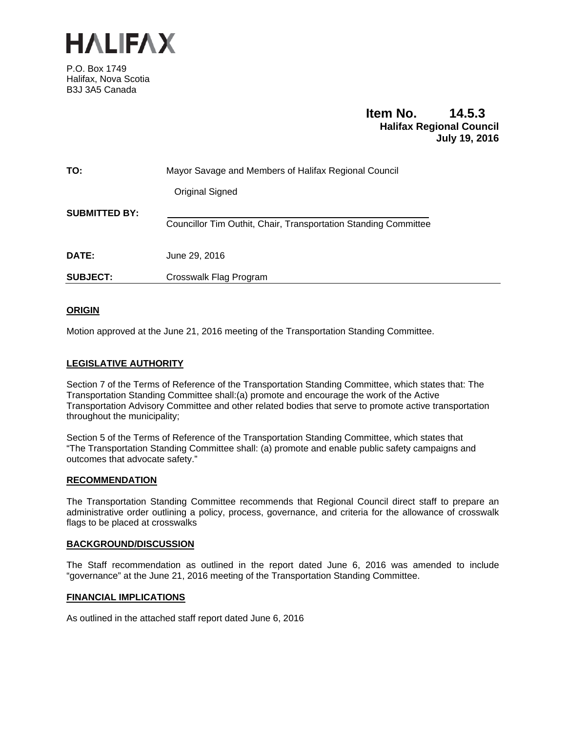

P.O. Box 1749 Halifax, Nova Scotia B3J 3A5 Canada

## **Item No. 14.5.3 Halifax Regional Council July 19, 2016**

| TO:                  | Mayor Savage and Members of Halifax Regional Council            |
|----------------------|-----------------------------------------------------------------|
|                      | Original Signed                                                 |
| <b>SUBMITTED BY:</b> | Councillor Tim Outhit, Chair, Transportation Standing Committee |
| DATE:                | June 29, 2016                                                   |
| <b>SUBJECT:</b>      | Crosswalk Flag Program                                          |

## **ORIGIN**

Motion approved at the June 21, 2016 meeting of the Transportation Standing Committee.

## **LEGISLATIVE AUTHORITY**

Section 7 of the Terms of Reference of the Transportation Standing Committee, which states that: The Transportation Standing Committee shall:(a) promote and encourage the work of the Active Transportation Advisory Committee and other related bodies that serve to promote active transportation throughout the municipality;

Section 5 of the Terms of Reference of the Transportation Standing Committee, which states that "The Transportation Standing Committee shall: (a) promote and enable public safety campaigns and outcomes that advocate safety."

## **RECOMMENDATION**

The Transportation Standing Committee recommends that Regional Council direct staff to prepare an administrative order outlining a policy, process, governance, and criteria for the allowance of crosswalk flags to be placed at crosswalks

## **BACKGROUND/DISCUSSION**

The Staff recommendation as outlined in the report dated June 6, 2016 was amended to include "governance" at the June 21, 2016 meeting of the Transportation Standing Committee.

## **FINANCIAL IMPLICATIONS**

As outlined in the attached staff report dated June 6, 2016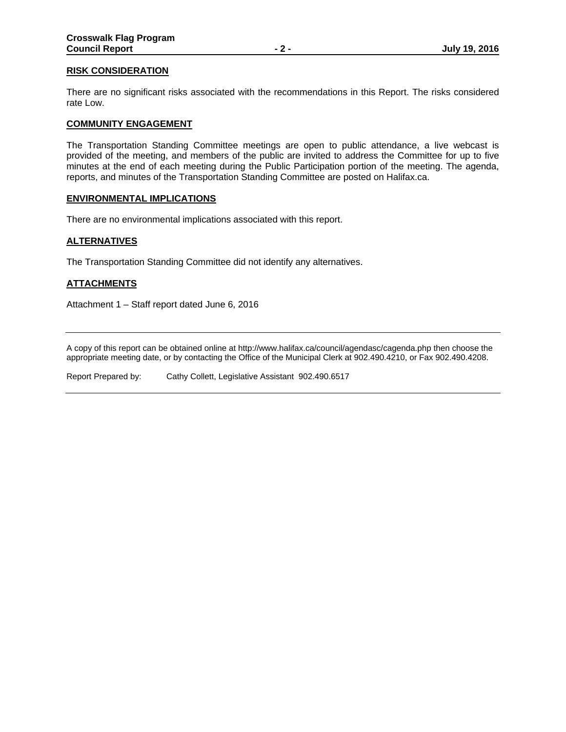## **RISK CONSIDERATION**

There are no significant risks associated with the recommendations in this Report. The risks considered rate Low.

### **COMMUNITY ENGAGEMENT**

The Transportation Standing Committee meetings are open to public attendance, a live webcast is provided of the meeting, and members of the public are invited to address the Committee for up to five minutes at the end of each meeting during the Public Participation portion of the meeting. The agenda, reports, and minutes of the Transportation Standing Committee are posted on Halifax.ca.

### **ENVIRONMENTAL IMPLICATIONS**

There are no environmental implications associated with this report.

## **ALTERNATIVES**

The Transportation Standing Committee did not identify any alternatives.

## **ATTACHMENTS**

Attachment 1 – Staff report dated June 6, 2016

A copy of this report can be obtained online at http://www.halifax.ca/council/agendasc/cagenda.php then choose the appropriate meeting date, or by contacting the Office of the Municipal Clerk at 902.490.4210, or Fax 902.490.4208.

Report Prepared by: Cathy Collett, Legislative Assistant 902.490.6517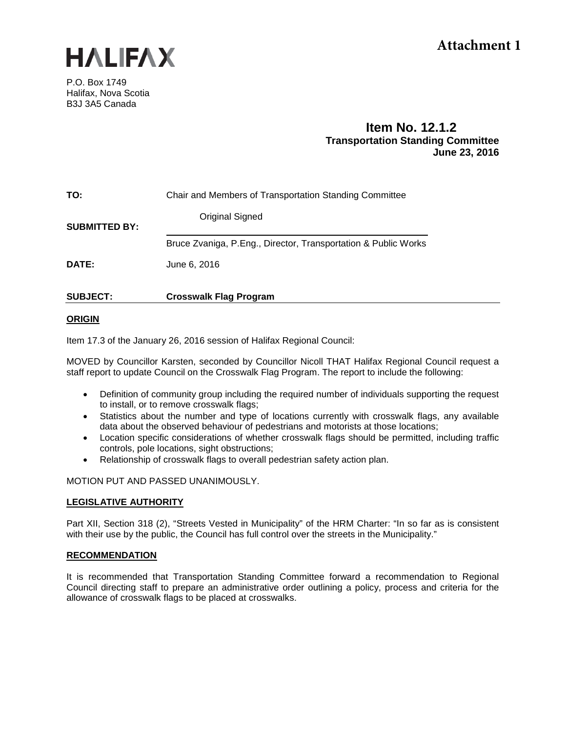

# **Attachment 1**

P.O. Box 1749 Halifax, Nova Scotia B3J 3A5 Canada

## **Item No. 12.1.2 Transportation Standing Committee June 23, 2016**

| TO:                  | Chair and Members of Transportation Standing Committee         |
|----------------------|----------------------------------------------------------------|
| <b>SUBMITTED BY:</b> | <b>Original Signed</b>                                         |
|                      | Bruce Zvaniga, P.Eng., Director, Transportation & Public Works |
| <b>DATE:</b>         | June 6, 2016                                                   |
|                      |                                                                |

## **SUBJECT: Crosswalk Flag Program**

## **ORIGIN**

Item 17.3 of the January 26, 2016 session of Halifax Regional Council:

MOVED by Councillor Karsten, seconded by Councillor Nicoll THAT Halifax Regional Council request a staff report to update Council on the Crosswalk Flag Program. The report to include the following:

- Definition of community group including the required number of individuals supporting the request to install, or to remove crosswalk flags;
- Statistics about the number and type of locations currently with crosswalk flags, any available data about the observed behaviour of pedestrians and motorists at those locations;
- Location specific considerations of whether crosswalk flags should be permitted, including traffic controls, pole locations, sight obstructions;
- Relationship of crosswalk flags to overall pedestrian safety action plan.

## MOTION PUT AND PASSED UNANIMOUSLY.

## **LEGISLATIVE AUTHORITY**

Part XII, Section 318 (2), "Streets Vested in Municipality" of the HRM Charter: "In so far as is consistent with their use by the public, the Council has full control over the streets in the Municipality."

## **RECOMMENDATION**

It is recommended that Transportation Standing Committee forward a recommendation to Regional Council directing staff to prepare an administrative order outlining a policy, process and criteria for the allowance of crosswalk flags to be placed at crosswalks.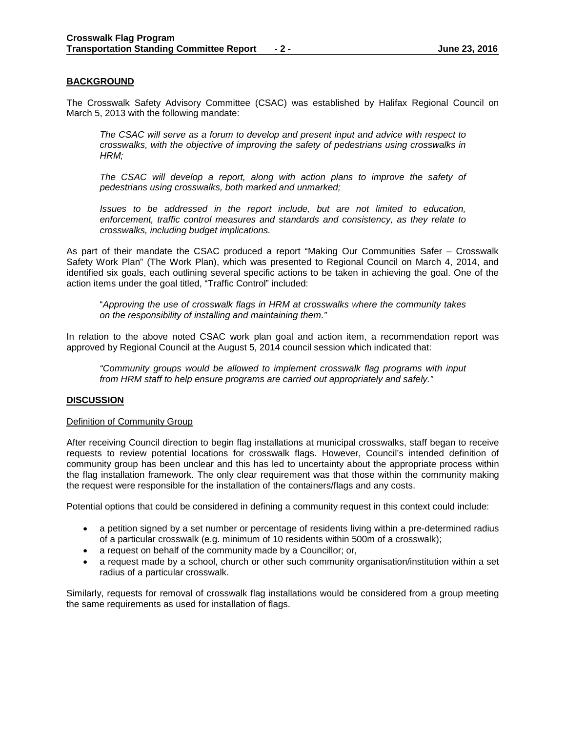## **BACKGROUND**

The Crosswalk Safety Advisory Committee (CSAC) was established by Halifax Regional Council on March 5, 2013 with the following mandate:

*The CSAC will serve as a forum to develop and present input and advice with respect to crosswalks, with the objective of improving the safety of pedestrians using crosswalks in HRM;*

The CSAC will develop a report, along with action plans to improve the safety of *pedestrians using crosswalks, both marked and unmarked;*

*Issues to be addressed in the report include, but are not limited to education, enforcement, traffic control measures and standards and consistency, as they relate to crosswalks, including budget implications.*

As part of their mandate the CSAC produced a report "Making Our Communities Safer – Crosswalk Safety Work Plan" (The Work Plan), which was presented to Regional Council on March 4, 2014, and identified six goals, each outlining several specific actions to be taken in achieving the goal. One of the action items under the goal titled, "Traffic Control" included:

"*Approving the use of crosswalk flags in HRM at crosswalks where the community takes on the responsibility of installing and maintaining them."*

In relation to the above noted CSAC work plan goal and action item, a recommendation report was approved by Regional Council at the August 5, 2014 council session which indicated that:

*"Community groups would be allowed to implement crosswalk flag programs with input from HRM staff to help ensure programs are carried out appropriately and safely."*

## **DISCUSSION**

#### Definition of Community Group

After receiving Council direction to begin flag installations at municipal crosswalks, staff began to receive requests to review potential locations for crosswalk flags. However, Council's intended definition of community group has been unclear and this has led to uncertainty about the appropriate process within the flag installation framework. The only clear requirement was that those within the community making the request were responsible for the installation of the containers/flags and any costs.

Potential options that could be considered in defining a community request in this context could include:

- a petition signed by a set number or percentage of residents living within a pre-determined radius of a particular crosswalk (e.g. minimum of 10 residents within 500m of a crosswalk);
- a request on behalf of the community made by a Councillor; or,
- a request made by a school, church or other such community organisation/institution within a set radius of a particular crosswalk.

Similarly, requests for removal of crosswalk flag installations would be considered from a group meeting the same requirements as used for installation of flags.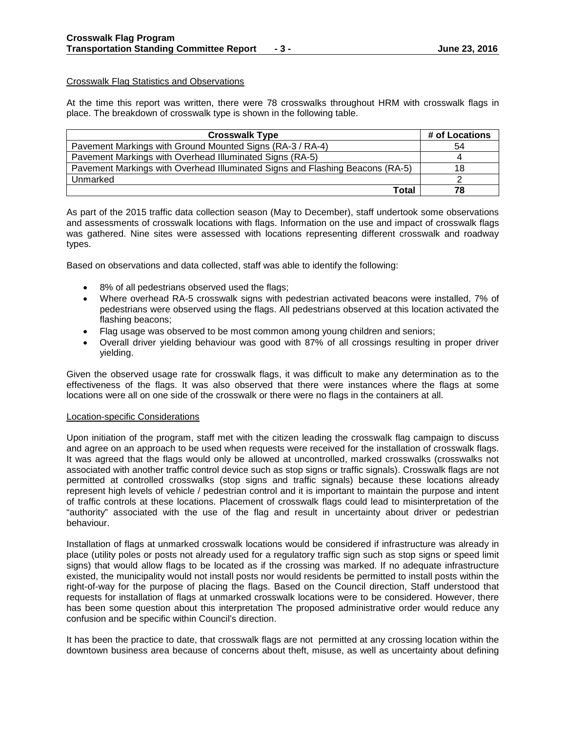## Crosswalk Flag Statistics and Observations

At the time this report was written, there were 78 crosswalks throughout HRM with crosswalk flags in place. The breakdown of crosswalk type is shown in the following table.

| <b>Crosswalk Type</b>                                                         | # of Locations |
|-------------------------------------------------------------------------------|----------------|
| Pavement Markings with Ground Mounted Signs (RA-3 / RA-4)                     | 54             |
| Pavement Markings with Overhead Illuminated Signs (RA-5)                      |                |
| Pavement Markings with Overhead Illuminated Signs and Flashing Beacons (RA-5) | 18             |
| Unmarked                                                                      |                |
| Total                                                                         | 78             |

As part of the 2015 traffic data collection season (May to December), staff undertook some observations and assessments of crosswalk locations with flags. Information on the use and impact of crosswalk flags was gathered. Nine sites were assessed with locations representing different crosswalk and roadway types.

Based on observations and data collected, staff was able to identify the following:

- 8% of all pedestrians observed used the flags;
- Where overhead RA-5 crosswalk signs with pedestrian activated beacons were installed, 7% of pedestrians were observed using the flags. All pedestrians observed at this location activated the flashing beacons;
- Flag usage was observed to be most common among young children and seniors;
- Overall driver yielding behaviour was good with 87% of all crossings resulting in proper driver yielding.

Given the observed usage rate for crosswalk flags, it was difficult to make any determination as to the effectiveness of the flags. It was also observed that there were instances where the flags at some locations were all on one side of the crosswalk or there were no flags in the containers at all.

## Location-specific Considerations

Upon initiation of the program, staff met with the citizen leading the crosswalk flag campaign to discuss and agree on an approach to be used when requests were received for the installation of crosswalk flags. It was agreed that the flags would only be allowed at uncontrolled, marked crosswalks (crosswalks not associated with another traffic control device such as stop signs or traffic signals). Crosswalk flags are not permitted at controlled crosswalks (stop signs and traffic signals) because these locations already represent high levels of vehicle / pedestrian control and it is important to maintain the purpose and intent of traffic controls at these locations. Placement of crosswalk flags could lead to misinterpretation of the "authority" associated with the use of the flag and result in uncertainty about driver or pedestrian behaviour.

Installation of flags at unmarked crosswalk locations would be considered if infrastructure was already in place (utility poles or posts not already used for a regulatory traffic sign such as stop signs or speed limit signs) that would allow flags to be located as if the crossing was marked. If no adequate infrastructure existed, the municipality would not install posts nor would residents be permitted to install posts within the right-of-way for the purpose of placing the flags. Based on the Council direction, Staff understood that requests for installation of flags at unmarked crosswalk locations were to be considered. However, there has been some question about this interpretation The proposed administrative order would reduce any confusion and be specific within Council's direction.

It has been the practice to date, that crosswalk flags are not permitted at any crossing location within the downtown business area because of concerns about theft, misuse, as well as uncertainty about defining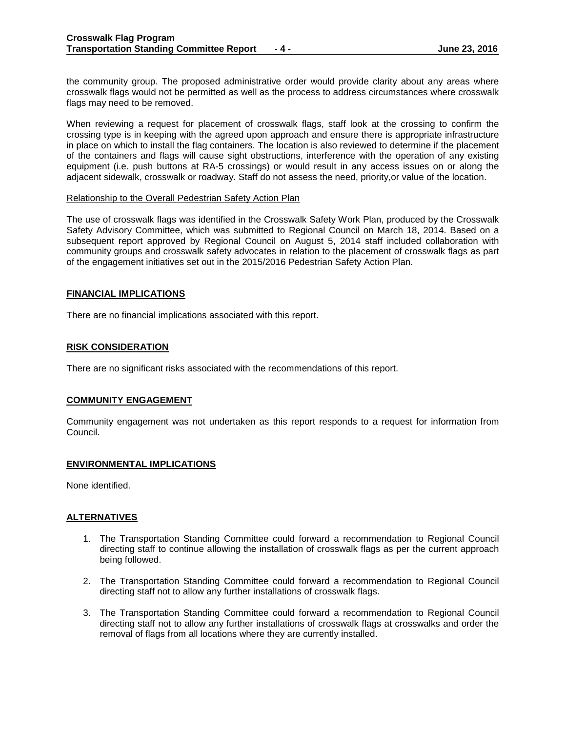the community group. The proposed administrative order would provide clarity about any areas where crosswalk flags would not be permitted as well as the process to address circumstances where crosswalk flags may need to be removed.

When reviewing a request for placement of crosswalk flags, staff look at the crossing to confirm the crossing type is in keeping with the agreed upon approach and ensure there is appropriate infrastructure in place on which to install the flag containers. The location is also reviewed to determine if the placement of the containers and flags will cause sight obstructions, interference with the operation of any existing equipment (i.e. push buttons at RA-5 crossings) or would result in any access issues on or along the adjacent sidewalk, crosswalk or roadway. Staff do not assess the need, priority,or value of the location.

### Relationship to the Overall Pedestrian Safety Action Plan

The use of crosswalk flags was identified in the Crosswalk Safety Work Plan, produced by the Crosswalk Safety Advisory Committee, which was submitted to Regional Council on March 18, 2014. Based on a subsequent report approved by Regional Council on August 5, 2014 staff included collaboration with community groups and crosswalk safety advocates in relation to the placement of crosswalk flags as part of the engagement initiatives set out in the 2015/2016 Pedestrian Safety Action Plan.

### **FINANCIAL IMPLICATIONS**

There are no financial implications associated with this report.

### **RISK CONSIDERATION**

There are no significant risks associated with the recommendations of this report.

## **COMMUNITY ENGAGEMENT**

Community engagement was not undertaken as this report responds to a request for information from Council.

#### **ENVIRONMENTAL IMPLICATIONS**

None identified.

#### **ALTERNATIVES**

- 1. The Transportation Standing Committee could forward a recommendation to Regional Council directing staff to continue allowing the installation of crosswalk flags as per the current approach being followed.
- 2. The Transportation Standing Committee could forward a recommendation to Regional Council directing staff not to allow any further installations of crosswalk flags.
- 3. The Transportation Standing Committee could forward a recommendation to Regional Council directing staff not to allow any further installations of crosswalk flags at crosswalks and order the removal of flags from all locations where they are currently installed.